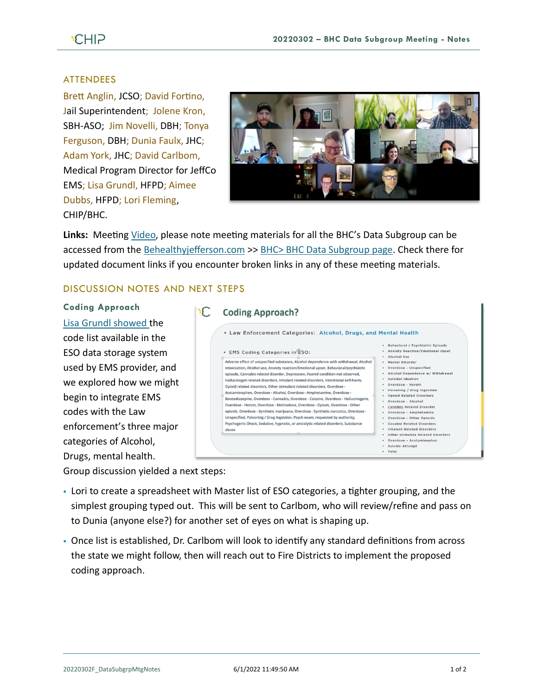# **CHIP**

### ATTENDEES

Brett Anglin, JCSO; David Fortino, Jail Superintendent; Jolene Kron, SBH-ASO; Jim Novelli, DBH; Tonya Ferguson, DBH; Dunia Faulx, JHC; Adam York, JHC; David Carlbom, Medical Program Director for JeffCo EMS; Lisa Grundl, HFPD; Aimee Dubbs, HFPD; Lori Fleming, CHIP/BHC.



**Links:** Meeting [Video,](https://www.youtube.com/watch?v=1iR8yePySZA) please note meeting materials for all the BHC's Data Subgroup can be accessed from the [Behealthyjefferson.com](https://www.behealthyjefferson.com/) >> BHC> [BHC Data Subgroup](https://www.behealthyjefferson.com/bhcdata) page. Check there for updated document links if you encounter broken links in any of these meeting materials.

## DISCUSSION NOTES AND NEXT STEPS

**Coding Approach** [Lisa Grundl showed](https://youtu.be/1iR8yePySZA?t=133) the code list available in the ESO data storage system used by EMS provider, and we explored how we might begin to integrate EMS codes with the Law enforcement's three major categories of Alcohol, Drugs, mental health.

| . Law Enforcement Categories: Alcohol, Drugs, and Mental Health                                                                                                                                                                                                                                                                                                                                                                                                                                                                                                                                                                                                                                                                                                                                                                                                                                                                                                                         |                                                                                                                                                                                                                                                                                                                                                                                                                                                                                                              |
|-----------------------------------------------------------------------------------------------------------------------------------------------------------------------------------------------------------------------------------------------------------------------------------------------------------------------------------------------------------------------------------------------------------------------------------------------------------------------------------------------------------------------------------------------------------------------------------------------------------------------------------------------------------------------------------------------------------------------------------------------------------------------------------------------------------------------------------------------------------------------------------------------------------------------------------------------------------------------------------------|--------------------------------------------------------------------------------------------------------------------------------------------------------------------------------------------------------------------------------------------------------------------------------------------------------------------------------------------------------------------------------------------------------------------------------------------------------------------------------------------------------------|
| EMS Coding Categories in £50:<br>٠<br>Adverse effect of unspecified substance, Alcohol dependence with withdrawal, Alcohol<br>intoxication, Alcohol use, Anxiety reaction/Emotional upset, Behavioral/psychiatric<br>episode, Cannabis related disorder, Depression, Feared condition not observed,<br>Hallucinogen related disorders, Inhalant related disorders, Intentional self-harm,<br>Opioid related disorders. Other stimulant related disorders. Overdose -<br>Acetaminophen, Overdose - Alcohol, Overdose - Amphetamine, Overdose -<br>Benzodiazepine, Overdose - Cannabis, Overdose - Cocaine, Overdose - Hallucinogens,<br>Overdose - Heroin, Overdose - Methadone, Overdose - Opium, Overdose - Other<br>opioids, Overdose - Synthetic marijuana, Overdose - Synthetic narcotics, Overdose -<br>Unspecified, Poisoning / Drug Ingestion, Psych exam, requested by authority,<br>Psychogenic Shock, Sedative, hypnotic, or anxiolytic related disorders, Substance<br>abuse | Behavloral / Psychiatric Episode<br>Anxlety Reaction/Emotional Upset<br>Alcohol Use<br>۰.<br>Montal Disorder<br>Overdose - Unspecified<br>Alcohol Dependence w/ Withdrawal<br>Suicidal Ideation<br>Overdose - Heroin<br>Poisoning / Drug Ingestion<br><b>Opiold Related Disorders</b><br>Overdose - Alcohol<br><b>Cannibis Related Disorder</b><br>Overdose - Amphetamine<br>Overdose - Other Opioids<br>Cocaine Related Disorders<br><b>Inhalant Related Disorders</b><br>Other Stimulate Related Disorders |

Group discussion yielded a next steps:

- Lori to create a spreadsheet with Master list of ESO categories, a tighter grouping, and the simplest grouping typed out. This will be sent to Carlbom, who will review/refine and pass on to Dunia (anyone else?) for another set of eyes on what is shaping up.
- Once list is established, Dr. Carlbom will look to identify any standard definitions from across the state we might follow, then will reach out to Fire Districts to implement the proposed coding approach.